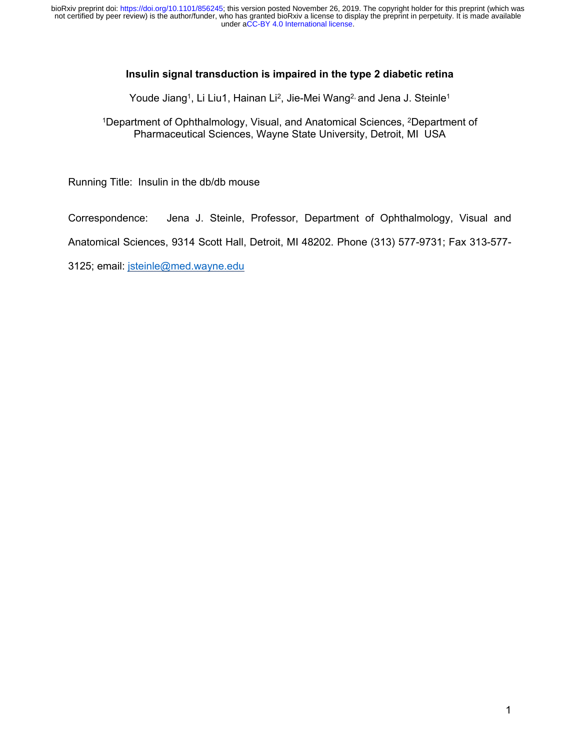## **Insulin signal transduction is impaired in the type 2 diabetic retina**

Youde Jiang<sup>1</sup>, Li Liu1, Hainan Li<sup>2</sup>, Jie-Mei Wang<sup>2,</sup> and Jena J. Steinle<sup>1</sup>

<sup>1</sup>Department of Ophthalmology, Visual, and Anatomical Sciences, <sup>2</sup>Department of Pharmaceutical Sciences, Wayne State University, Detroit, MI USA

Running Title: Insulin in the db/db mouse

Correspondence: Jena J. Steinle, Professor, Department of Ophthalmology, Visual and

Anatomical Sciences, 9314 Scott Hall, Detroit, MI 48202. Phone (313) 577-9731; Fax 313-577-

3125; email: jsteinle@med.wayne.edu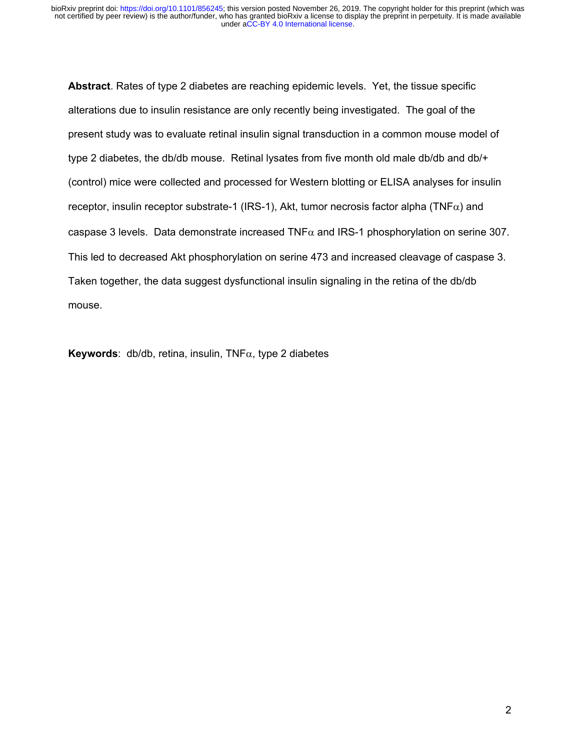**Abstract**. Rates of type 2 diabetes are reaching epidemic levels. Yet, the tissue specific alterations due to insulin resistance are only recently being investigated. The goal of the present study was to evaluate retinal insulin signal transduction in a common mouse model of type 2 diabetes, the db/db mouse. Retinal lysates from five month old male db/db and db/+ (control) mice were collected and processed for Western blotting or ELISA analyses for insulin receptor, insulin receptor substrate-1 (IRS-1), Akt, tumor necrosis factor alpha (TNF $\alpha$ ) and caspase 3 levels. Data demonstrate increased TNF $\alpha$  and IRS-1 phosphorylation on serine 307. This led to decreased Akt phosphorylation on serine 473 and increased cleavage of caspase 3. Taken together, the data suggest dysfunctional insulin signaling in the retina of the db/db mouse.

**Keywords:** db/db, retina, insulin,  $TNF\alpha$ , type 2 diabetes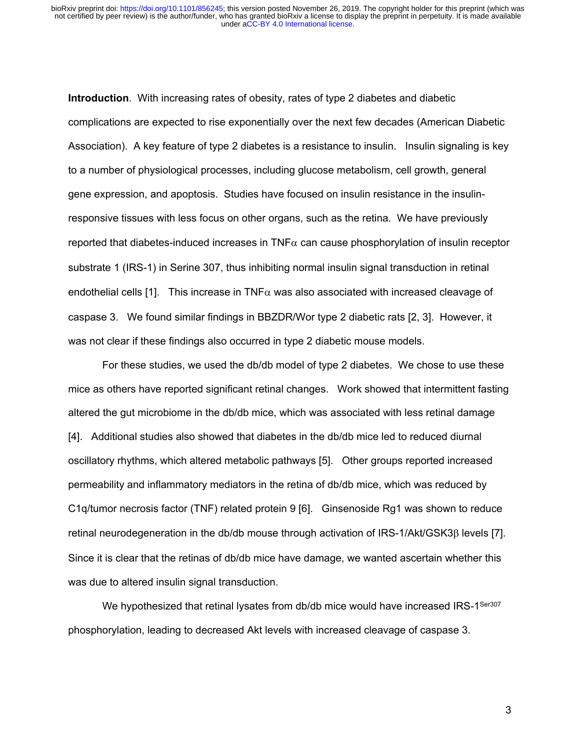**Introduction**. With increasing rates of obesity, rates of type 2 diabetes and diabetic complications are expected to rise exponentially over the next few decades (American Diabetic Association). A key feature of type 2 diabetes is a resistance to insulin. Insulin signaling is key to a number of physiological processes, including glucose metabolism, cell growth, general gene expression, and apoptosis. Studies have focused on insulin resistance in the insulinresponsive tissues with less focus on other organs, such as the retina. We have previously reported that diabetes-induced increases in  $TNF\alpha$  can cause phosphorylation of insulin receptor substrate 1 (IRS-1) in Serine 307, thus inhibiting normal insulin signal transduction in retinal endothelial cells [1]. This increase in TNF $\alpha$  was also associated with increased cleavage of caspase 3. We found similar findings in BBZDR/Wor type 2 diabetic rats [2, 3]. However, it was not clear if these findings also occurred in type 2 diabetic mouse models.

For these studies, we used the db/db model of type 2 diabetes. We chose to use these mice as others have reported significant retinal changes. Work showed that intermittent fasting altered the gut microbiome in the db/db mice, which was associated with less retinal damage [4]. Additional studies also showed that diabetes in the db/db mice led to reduced diurnal oscillatory rhythms, which altered metabolic pathways [5]. Other groups reported increased permeability and inflammatory mediators in the retina of db/db mice, which was reduced by C1q/tumor necrosis factor (TNF) related protein 9 [6]. Ginsenoside Rg1 was shown to reduce retinal neurodegeneration in the db/db mouse through activation of IRS-1/Akt/GSK3B levels [7]. Since it is clear that the retinas of db/db mice have damage, we wanted ascertain whether this was due to altered insulin signal transduction.

We hypothesized that retinal lysates from db/db mice would have increased IRS-1<sup>Ser307</sup> phosphorylation, leading to decreased Akt levels with increased cleavage of caspase 3.

3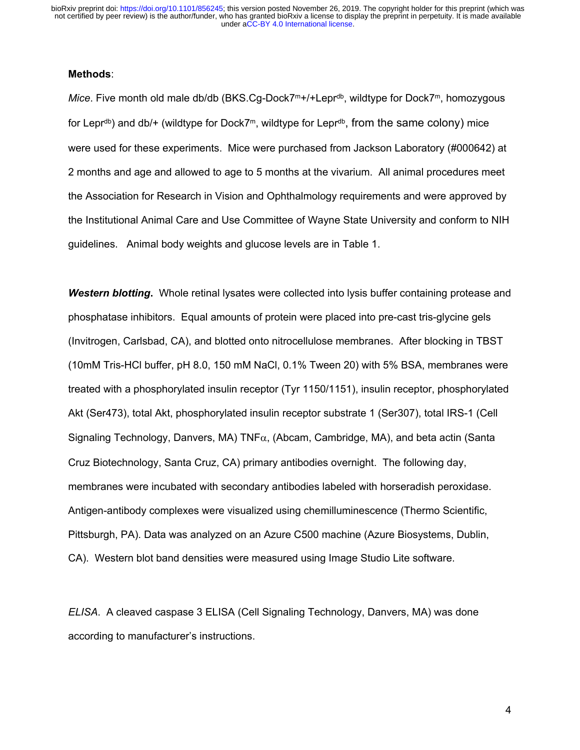under [aCC-BY 4.0 International license.](http://creativecommons.org/licenses/by/4.0/) not certified by peer review) is the author/funder, who has granted bioRxiv a license to display the preprint in perpetuity. It is made available bioRxiv preprint doi: [https://doi.org/10.1101/856245;](https://doi.org/10.1101/856245) this version posted November 26, 2019. The copyright holder for this preprint (which was

### **Methods**:

*Mice*. Five month old male db/db (BKS.Cg-Dock7<sup>m+/+</sup>Lepr<sup>db</sup>, wildtype for Dock7<sup>m</sup>, homozygous for Lepr<sup>db</sup>) and db/+ (wildtype for Dock7<sup>m</sup>, wildtype for Lepr<sup>db</sup>, from the same colony) mice were used for these experiments. Mice were purchased from Jackson Laboratory (#000642) at 2 months and age and allowed to age to 5 months at the vivarium. All animal procedures meet the Association for Research in Vision and Ophthalmology requirements and were approved by the Institutional Animal Care and Use Committee of Wayne State University and conform to NIH guidelines. Animal body weights and glucose levels are in Table 1.

**Western blotting.** Whole retinal lysates were collected into lysis buffer containing protease and phosphatase inhibitors. Equal amounts of protein were placed into pre-cast tris-glycine gels (Invitrogen, Carlsbad, CA), and blotted onto nitrocellulose membranes. After blocking in TBST (10mM Tris-HCl buffer, pH 8.0, 150 mM NaCl, 0.1% Tween 20) with 5% BSA, membranes were treated with a phosphorylated insulin receptor (Tyr 1150/1151), insulin receptor, phosphorylated Akt (Ser473), total Akt, phosphorylated insulin receptor substrate 1 (Ser307), total IRS-1 (Cell Signaling Technology, Danvers, MA)  $TNF\alpha$ , (Abcam, Cambridge, MA), and beta actin (Santa Cruz Biotechnology, Santa Cruz, CA) primary antibodies overnight. The following day, membranes were incubated with secondary antibodies labeled with horseradish peroxidase. Antigen-antibody complexes were visualized using chemilluminescence (Thermo Scientific, Pittsburgh, PA). Data was analyzed on an Azure C500 machine (Azure Biosystems, Dublin, CA). Western blot band densities were measured using Image Studio Lite software.

*ELISA*. A cleaved caspase 3 ELISA (Cell Signaling Technology, Danvers, MA) was done according to manufacturer's instructions.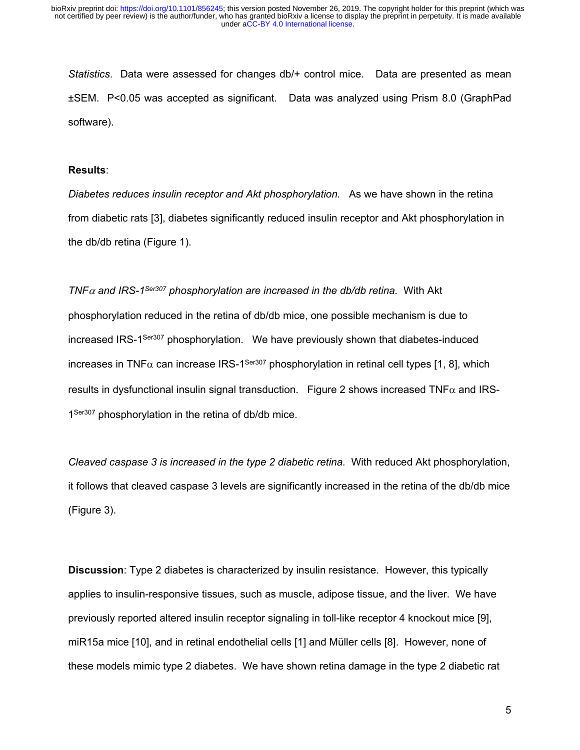*Statistics*. Data were assessed for changes db/+ control mice. Data are presented as mean ±SEM. P<0.05 was accepted as significant. Data was analyzed using Prism 8.0 (GraphPad software).

#### **Results**:

*Diabetes reduces insulin receptor and Akt phosphorylation.* As we have shown in the retina from diabetic rats [3], diabetes significantly reduced insulin receptor and Akt phosphorylation in the db/db retina (Figure 1).

#### *TNF* $\alpha$  and IRS-1<sup>Ser307</sup> phosphorylation are increased in the db/db retina. With Akt

phosphorylation reduced in the retina of db/db mice, one possible mechanism is due to increased IRS-1Ser307 phosphorylation. We have previously shown that diabetes-induced increases in TNF $\alpha$  can increase IRS-1<sup>Ser307</sup> phosphorylation in retinal cell types [1, 8], which results in dysfunctional insulin signal transduction. Figure 2 shows increased  $TNF\alpha$  and IRS-1<sup>Ser307</sup> phosphorylation in the retina of db/db mice.

*Cleaved caspase 3 is increased in the type 2 diabetic retina.* With reduced Akt phosphorylation, it follows that cleaved caspase 3 levels are significantly increased in the retina of the db/db mice (Figure 3).

**Discussion**: Type 2 diabetes is characterized by insulin resistance. However, this typically applies to insulin-responsive tissues, such as muscle, adipose tissue, and the liver. We have previously reported altered insulin receptor signaling in toll-like receptor 4 knockout mice [9], miR15a mice [10], and in retinal endothelial cells [1] and Müller cells [8]. However, none of these models mimic type 2 diabetes. We have shown retina damage in the type 2 diabetic rat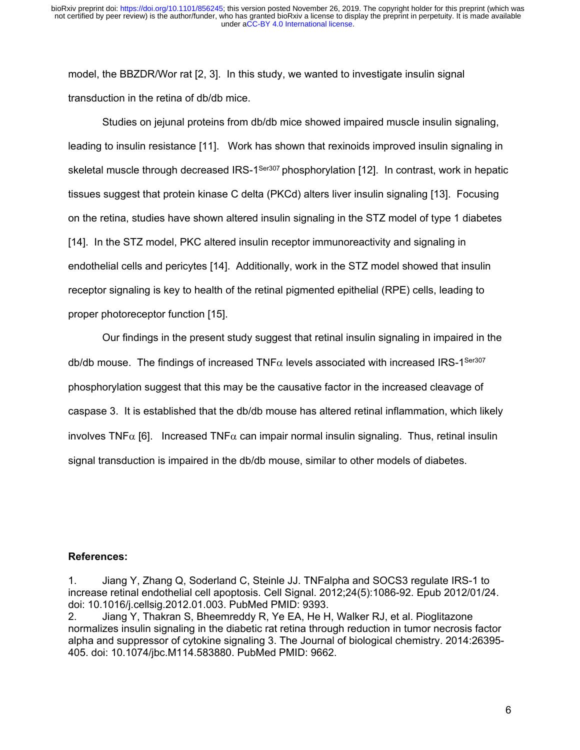model, the BBZDR/Wor rat [2, 3]. In this study, we wanted to investigate insulin signal transduction in the retina of db/db mice.

Studies on jejunal proteins from db/db mice showed impaired muscle insulin signaling, leading to insulin resistance [11]. Work has shown that rexinoids improved insulin signaling in skeletal muscle through decreased IRS-1<sup>Ser307</sup> phosphorylation [12]. In contrast, work in hepatic tissues suggest that protein kinase C delta (PKCd) alters liver insulin signaling [13]. Focusing on the retina, studies have shown altered insulin signaling in the STZ model of type 1 diabetes [14]. In the STZ model, PKC altered insulin receptor immunoreactivity and signaling in endothelial cells and pericytes [14]. Additionally, work in the STZ model showed that insulin receptor signaling is key to health of the retinal pigmented epithelial (RPE) cells, leading to proper photoreceptor function [15].

Our findings in the present study suggest that retinal insulin signaling in impaired in the db/db mouse. The findings of increased TNF $\alpha$  levels associated with increased IRS-1<sup>Ser307</sup> phosphorylation suggest that this may be the causative factor in the increased cleavage of caspase 3. It is established that the db/db mouse has altered retinal inflammation, which likely involves TNF $\alpha$  [6]. Increased TNF $\alpha$  can impair normal insulin signaling. Thus, retinal insulin signal transduction is impaired in the db/db mouse, similar to other models of diabetes.

#### **References:**

1. Jiang Y, Zhang Q, Soderland C, Steinle JJ. TNFalpha and SOCS3 regulate IRS-1 to increase retinal endothelial cell apoptosis. Cell Signal. 2012;24(5):1086-92. Epub 2012/01/24. doi: 10.1016/j.cellsig.2012.01.003. PubMed PMID: 9393.

2. Jiang Y, Thakran S, Bheemreddy R, Ye EA, He H, Walker RJ, et al. Pioglitazone normalizes insulin signaling in the diabetic rat retina through reduction in tumor necrosis factor alpha and suppressor of cytokine signaling 3. The Journal of biological chemistry. 2014:26395- 405. doi: 10.1074/jbc.M114.583880. PubMed PMID: 9662.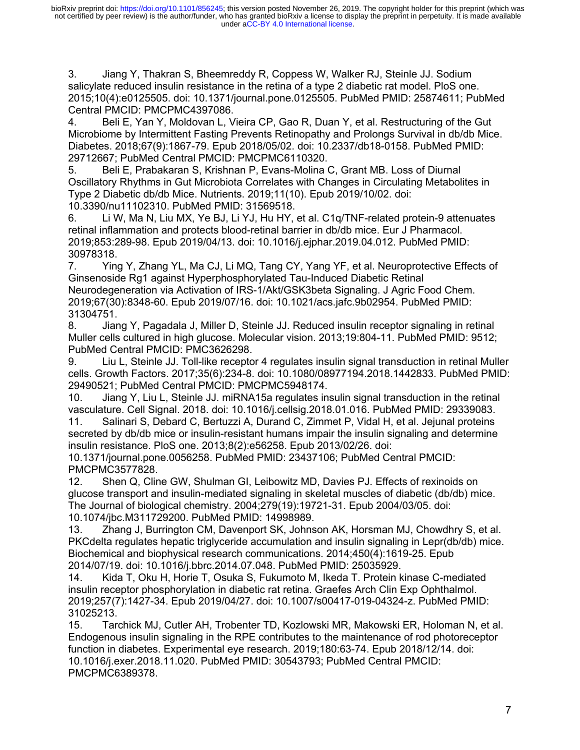3. Jiang Y, Thakran S, Bheemreddy R, Coppess W, Walker RJ, Steinle JJ. Sodium salicylate reduced insulin resistance in the retina of a type 2 diabetic rat model. PloS one. 2015;10(4):e0125505. doi: 10.1371/journal.pone.0125505. PubMed PMID: 25874611; PubMed Central PMCID: PMCPMC4397086.

4. Beli E, Yan Y, Moldovan L, Vieira CP, Gao R, Duan Y, et al. Restructuring of the Gut Microbiome by Intermittent Fasting Prevents Retinopathy and Prolongs Survival in db/db Mice. Diabetes. 2018;67(9):1867-79. Epub 2018/05/02. doi: 10.2337/db18-0158. PubMed PMID: 29712667; PubMed Central PMCID: PMCPMC6110320.

5. Beli E, Prabakaran S, Krishnan P, Evans-Molina C, Grant MB. Loss of Diurnal Oscillatory Rhythms in Gut Microbiota Correlates with Changes in Circulating Metabolites in Type 2 Diabetic db/db Mice. Nutrients. 2019;11(10). Epub 2019/10/02. doi: 10.3390/nu11102310. PubMed PMID: 31569518.

6. Li W, Ma N, Liu MX, Ye BJ, Li YJ, Hu HY, et al. C1q/TNF-related protein-9 attenuates retinal inflammation and protects blood-retinal barrier in db/db mice. Eur J Pharmacol. 2019;853:289-98. Epub 2019/04/13. doi: 10.1016/j.ejphar.2019.04.012. PubMed PMID: 30978318.

7. Ying Y, Zhang YL, Ma CJ, Li MQ, Tang CY, Yang YF, et al. Neuroprotective Effects of Ginsenoside Rg1 against Hyperphosphorylated Tau-Induced Diabetic Retinal Neurodegeneration via Activation of IRS-1/Akt/GSK3beta Signaling. J Agric Food Chem. 2019;67(30):8348-60. Epub 2019/07/16. doi: 10.1021/acs.jafc.9b02954. PubMed PMID: 31304751.

8. Jiang Y, Pagadala J, Miller D, Steinle JJ. Reduced insulin receptor signaling in retinal Muller cells cultured in high glucose. Molecular vision. 2013;19:804-11. PubMed PMID: 9512; PubMed Central PMCID: PMC3626298.

9. Liu L, Steinle JJ. Toll-like receptor 4 regulates insulin signal transduction in retinal Muller cells. Growth Factors. 2017;35(6):234-8. doi: 10.1080/08977194.2018.1442833. PubMed PMID: 29490521; PubMed Central PMCID: PMCPMC5948174.

10. Jiang Y, Liu L, Steinle JJ. miRNA15a regulates insulin signal transduction in the retinal vasculature. Cell Signal. 2018. doi: 10.1016/j.cellsig.2018.01.016. PubMed PMID: 29339083. 11. Salinari S, Debard C, Bertuzzi A, Durand C, Zimmet P, Vidal H, et al. Jejunal proteins

secreted by db/db mice or insulin-resistant humans impair the insulin signaling and determine insulin resistance. PloS one. 2013;8(2):e56258. Epub 2013/02/26. doi:

10.1371/journal.pone.0056258. PubMed PMID: 23437106; PubMed Central PMCID: PMCPMC3577828.

12. Shen Q, Cline GW, Shulman GI, Leibowitz MD, Davies PJ. Effects of rexinoids on glucose transport and insulin-mediated signaling in skeletal muscles of diabetic (db/db) mice. The Journal of biological chemistry. 2004;279(19):19721-31. Epub 2004/03/05. doi: 10.1074/jbc.M311729200. PubMed PMID: 14998989.

13. Zhang J, Burrington CM, Davenport SK, Johnson AK, Horsman MJ, Chowdhry S, et al. PKCdelta regulates hepatic triglyceride accumulation and insulin signaling in Lepr(db/db) mice. Biochemical and biophysical research communications. 2014;450(4):1619-25. Epub 2014/07/19. doi: 10.1016/j.bbrc.2014.07.048. PubMed PMID: 25035929.

14. Kida T, Oku H, Horie T, Osuka S, Fukumoto M, Ikeda T. Protein kinase C-mediated insulin receptor phosphorylation in diabetic rat retina. Graefes Arch Clin Exp Ophthalmol. 2019;257(7):1427-34. Epub 2019/04/27. doi: 10.1007/s00417-019-04324-z. PubMed PMID: 31025213.

15. Tarchick MJ, Cutler AH, Trobenter TD, Kozlowski MR, Makowski ER, Holoman N, et al. Endogenous insulin signaling in the RPE contributes to the maintenance of rod photoreceptor function in diabetes. Experimental eye research. 2019;180:63-74. Epub 2018/12/14. doi: 10.1016/j.exer.2018.11.020. PubMed PMID: 30543793; PubMed Central PMCID: PMCPMC6389378.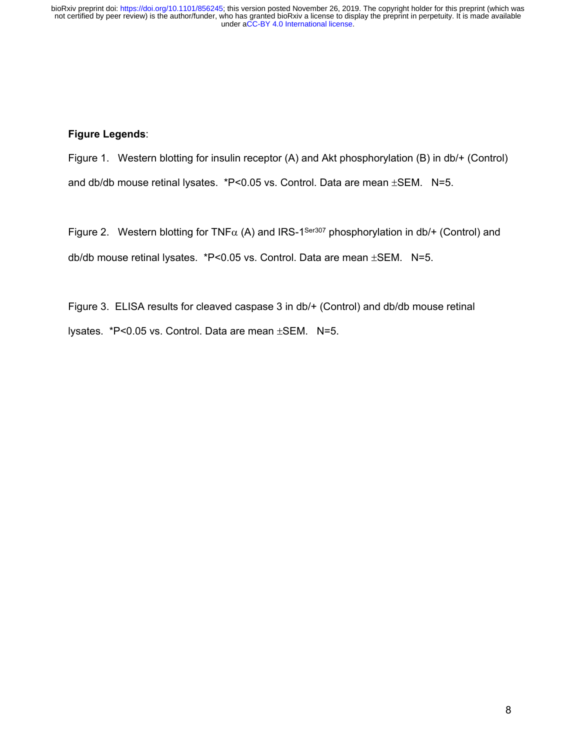under [aCC-BY 4.0 International license.](http://creativecommons.org/licenses/by/4.0/) not certified by peer review) is the author/funder, who has granted bioRxiv a license to display the preprint in perpetuity. It is made available bioRxiv preprint doi: [https://doi.org/10.1101/856245;](https://doi.org/10.1101/856245) this version posted November 26, 2019. The copyright holder for this preprint (which was

# **Figure Legends**:

Figure 1. Western blotting for insulin receptor (A) and Akt phosphorylation (B) in db/+ (Control) and db/db mouse retinal lysates.  $*P<0.05$  vs. Control. Data are mean  $\pm$ SEM. N=5.

Figure 2. Western blotting for TNF $\alpha$  (A) and IRS-1<sup>Ser307</sup> phosphorylation in db/+ (Control) and db/db mouse retinal lysates.  $*P<0.05$  vs. Control. Data are mean  $\pm$ SEM. N=5.

Figure 3. ELISA results for cleaved caspase 3 in db/+ (Control) and db/db mouse retinal lysates. \*P<0.05 vs. Control. Data are mean  $\pm$ SEM. N=5.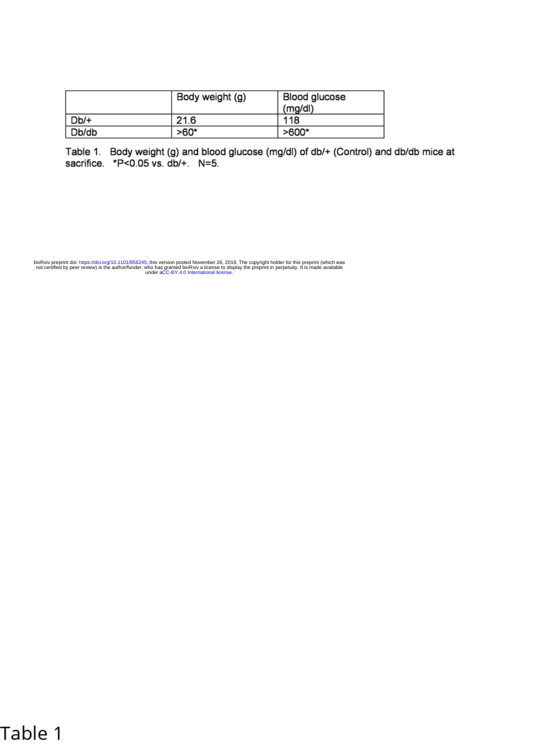|        | Body weight (g) | Blood glucose<br>(mg/d) |
|--------|-----------------|-------------------------|
| $Db/+$ | 21.6            | 118                     |
| Db/db  | $>60*$          | $>600*$                 |

Table 1. Body weight (g) and blood glucose (mg/dl) of db/+ (Control) and db/db mice at sacrifice. \*P<0.05 vs. db/+. N=5.

under [aCC-BY 4.0 International license.](http://creativecommons.org/licenses/by/4.0/) not certified by peer review) is the author/funder, who has granted bioRxiv a license to display the preprint in perpetuity. It is made available bioRxiv preprint doi: [https://doi.org/10.1101/856245;](https://doi.org/10.1101/856245) this version posted November 26, 2019. The copyright holder for this preprint (which was

# Table 1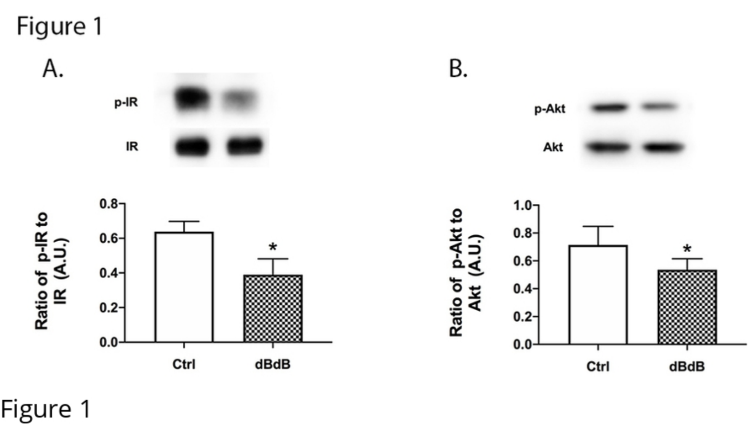Figure 1









Figure 1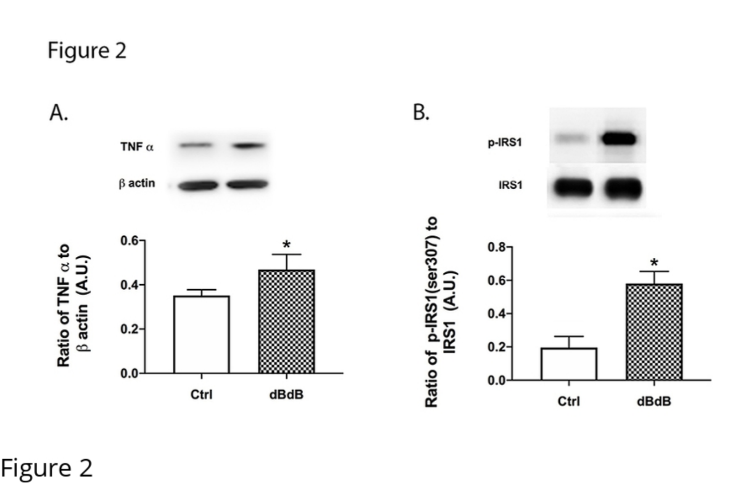Figure 2



Figure 2